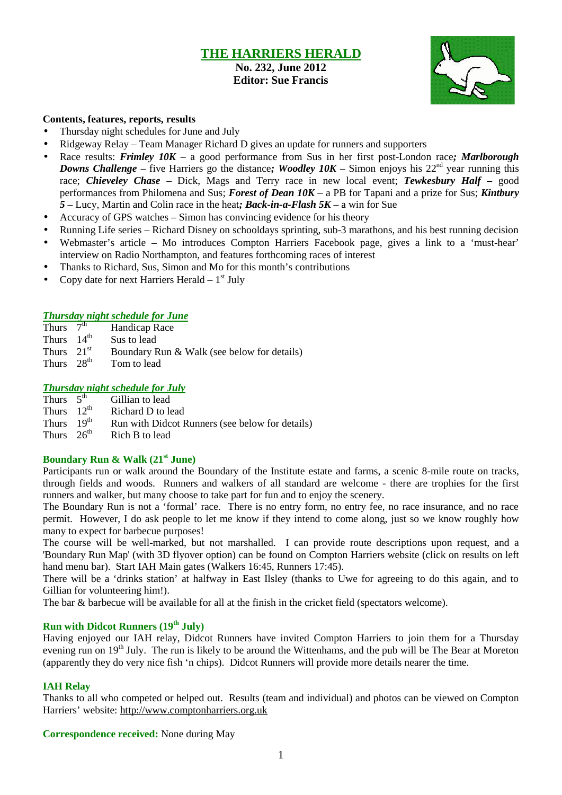## **THE HARRIERS HERALD**

**No. 232, June 2012 Editor: Sue Francis**



#### **Contents, features, reports, results**

- Thursday night schedules for June and July
- Ridgeway Relay Team Manager Richard D gives an update for runners and supporters
- Race results: *Frimley 10K* a good performance from Sus in her first post-London race*; Marlborough Downs Challenge* – five Harriers go the distance; *Woodley 10K* – Simon enjoys his  $22<sup>nd</sup>$  year running this race; *Chieveley Chase* – Dick, Mags and Terry race in new local event; *Tewkesbury Half –* good performances from Philomena and Sus; *Forest of Dean 10K* – a PB for Tapani and a prize for Sus; *Kintbury 5* – Lucy, Martin and Colin race in the heat*; Back-in-a-Flash 5K* – a win for Sue
- Accuracy of GPS watches Simon has convincing evidence for his theory
- Running Life series Richard Disney on schooldays sprinting, sub-3 marathons, and his best running decision
- Webmaster's article Mo introduces Compton Harriers Facebook page, gives a link to a 'must-hear' interview on Radio Northampton, and features forthcoming races of interest
- Thanks to Richard, Sus, Simon and Mo for this month's contributions
- Copy date for next Harriers Herald  $-1<sup>st</sup>$  July

#### *Thursday night schedule for June*

- Thurs  $7<sup>th</sup>$ Handicap Race
- Thurs  $14^{th}$ <br>Thurs  $21^{st}$ Sus to lead
- Boundary Run & Walk (see below for details)
- Thurs  $28<sup>th</sup>$  Tom to lead

#### *Thursday night schedule for July*

| Thurs $5^{\text{th}}$  | Gillian to lead                                 |
|------------------------|-------------------------------------------------|
| Thurs $12^{\text{th}}$ | Richard D to lead                               |
| Thurs $19th$           | Run with Didcot Runners (see below for details) |
| Thurs $26th$           | Rich B to lead                                  |

# **Boundary Run & Walk (21st June)**

Participants run or walk around the Boundary of the Institute estate and farms, a scenic 8-mile route on tracks, through fields and woods. Runners and walkers of all standard are welcome - there are trophies for the first runners and walker, but many choose to take part for fun and to enjoy the scenery.

The Boundary Run is not a 'formal' race. There is no entry form, no entry fee, no race insurance, and no race permit. However, I do ask people to let me know if they intend to come along, just so we know roughly how many to expect for barbecue purposes!

The course will be well-marked, but not marshalled. I can provide route descriptions upon request, and a 'Boundary Run Map' (with 3D flyover option) can be found on Compton Harriers website (click on results on left hand menu bar). Start IAH Main gates (Walkers 16:45, Runners 17:45).

There will be a 'drinks station' at halfway in East Ilsley (thanks to Uwe for agreeing to do this again, and to Gillian for volunteering him!).

The bar & barbecue will be available for all at the finish in the cricket field (spectators welcome).

### **Run with Didcot Runners (19th July)**

Having enjoyed our IAH relay, Didcot Runners have invited Compton Harriers to join them for a Thursday evening run on 19<sup>th</sup> July. The run is likely to be around the Wittenhams, and the pub will be The Bear at Moreton (apparently they do very nice fish 'n chips). Didcot Runners will provide more details nearer the time.

#### **IAH Relay**

Thanks to all who competed or helped out. Results (team and individual) and photos can be viewed on Compton Harriers' website: http://www.comptonharriers.org.uk

**Correspondence received:** None during May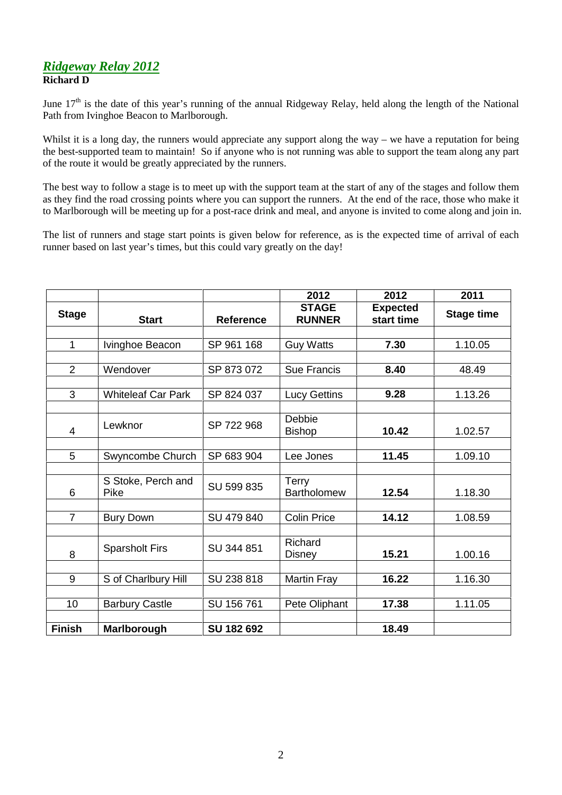### *Ridgeway Relay 2012* **Richard D**

June  $17<sup>th</sup>$  is the date of this year's running of the annual Ridgeway Relay, held along the length of the National Path from Ivinghoe Beacon to Marlborough.

Whilst it is a long day, the runners would appreciate any support along the way – we have a reputation for being the best-supported team to maintain! So if anyone who is not running was able to support the team along any part of the route it would be greatly appreciated by the runners.

The best way to follow a stage is to meet up with the support team at the start of any of the stages and follow them as they find the road crossing points where you can support the runners. At the end of the race, those who make it to Marlborough will be meeting up for a post-race drink and meal, and anyone is invited to come along and join in.

The list of runners and stage start points is given below for reference, as is the expected time of arrival of each runner based on last year's times, but this could vary greatly on the day!

|                |                            |                  | 2012                          | 2012                          | 2011              |
|----------------|----------------------------|------------------|-------------------------------|-------------------------------|-------------------|
| <b>Stage</b>   | <b>Start</b>               | <b>Reference</b> | <b>STAGE</b><br><b>RUNNER</b> | <b>Expected</b><br>start time | <b>Stage time</b> |
|                |                            |                  |                               |                               |                   |
| $\mathbf{1}$   | Ivinghoe Beacon            | SP 961 168       | <b>Guy Watts</b>              | 7.30                          | 1.10.05           |
|                |                            |                  |                               |                               |                   |
| $\overline{2}$ | Wendover                   | SP 873 072       | Sue Francis                   | 8.40                          | 48.49             |
|                |                            |                  |                               |                               |                   |
| 3              | <b>Whiteleaf Car Park</b>  | SP 824 037       | <b>Lucy Gettins</b>           | 9.28                          | 1.13.26           |
|                |                            |                  |                               |                               |                   |
| 4              | Lewknor                    | SP 722 968       | Debbie<br><b>Bishop</b>       | 10.42                         | 1.02.57           |
|                |                            |                  |                               |                               |                   |
| 5              | Swyncombe Church           | SP 683 904       | Lee Jones                     | 11.45                         | 1.09.10           |
|                |                            |                  |                               |                               |                   |
| 6              | S Stoke, Perch and<br>Pike | SU 599 835       | Terry<br><b>Bartholomew</b>   | 12.54                         | 1.18.30           |
|                |                            |                  |                               |                               |                   |
| $\overline{7}$ | <b>Bury Down</b>           | SU 479 840       | <b>Colin Price</b>            | 14.12                         | 1.08.59           |
|                |                            |                  |                               |                               |                   |
| 8              | <b>Sparsholt Firs</b>      | SU 344 851       | Richard<br>Disney             | 15.21                         | 1.00.16           |
|                |                            |                  |                               |                               |                   |
| 9              | S of Charlbury Hill        | SU 238 818       | Martin Fray                   | 16.22                         | 1.16.30           |
|                |                            |                  |                               |                               |                   |
| 10             | <b>Barbury Castle</b>      | SU 156 761       | Pete Oliphant                 | 17.38                         | 1.11.05           |
|                |                            |                  |                               |                               |                   |
| <b>Finish</b>  | Marlborough                | SU 182 692       |                               | 18.49                         |                   |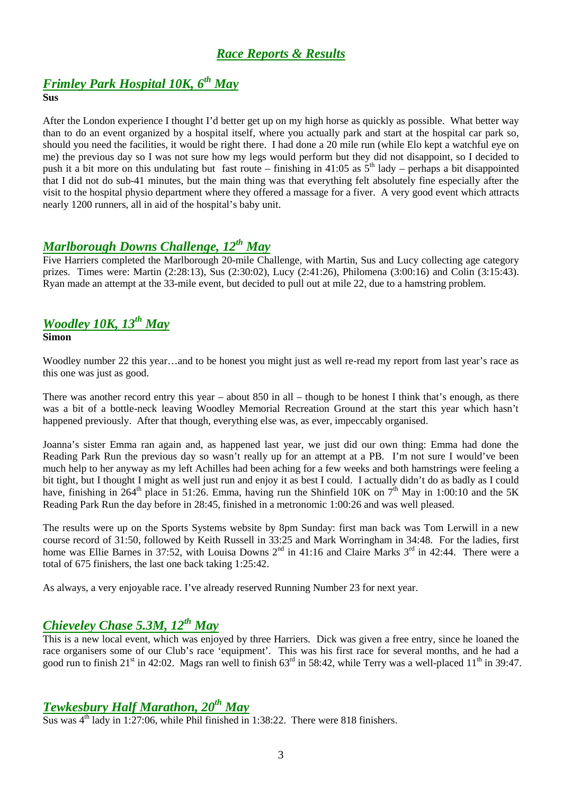## *Race Reports & Results*

# *Frimley Park Hospital 10K, 6th May*

**Sus**

After the London experience I thought I'd better get up on my high horse as quickly as possible. What better way than to do an event organized by a hospital itself, where you actually park and start at the hospital car park so, should you need the facilities, it would be right there. I had done a 20 mile run (while Elo kept a watchful eye on me) the previous day so I was not sure how my legs would perform but they did not disappoint, so I decided to push it a bit more on this undulating but fast route – finishing in 41:05 as  $5<sup>th</sup>$  lady – perhaps a bit disappointed that I did not do sub-41 minutes, but the main thing was that everything felt absolutely fine especially after the visit to the hospital physio department where they offered a massage for a fiver. A very good event which attracts nearly 1200 runners, all in aid of the hospital's baby unit.

# *Marlborough Downs Challenge, 12th May*

Five Harriers completed the Marlborough 20-mile Challenge, with Martin, Sus and Lucy collecting age category prizes. Times were: Martin (2:28:13), Sus (2:30:02), Lucy (2:41:26), Philomena (3:00:16) and Colin (3:15:43). Ryan made an attempt at the 33-mile event, but decided to pull out at mile 22, due to a hamstring problem.

### *Woodley 10K, 13th May* **Simon**

Woodley number 22 this year…and to be honest you might just as well re-read my report from last year's race as this one was just as good.

There was another record entry this year – about 850 in all – though to be honest I think that's enough, as there was a bit of a bottle-neck leaving Woodley Memorial Recreation Ground at the start this year which hasn't happened previously. After that though, everything else was, as ever, impeccably organised.

Joanna's sister Emma ran again and, as happened last year, we just did our own thing: Emma had done the Reading Park Run the previous day so wasn't really up for an attempt at a PB. I'm not sure I would've been much help to her anyway as my left Achilles had been aching for a few weeks and both hamstrings were feeling a bit tight, but I thought I might as well just run and enjoy it as best I could. I actually didn't do as badly as I could have, finishing in  $264^{\text{th}}$  place in 51:26. Emma, having run the Shinfield 10K on 7<sup>th</sup> May in 1:00:10 and the 5K Reading Park Run the day before in 28:45, finished in a metronomic 1:00:26 and was well pleased.

The results were up on the Sports Systems website by 8pm Sunday: first man back was Tom Lerwill in a new course record of 31:50, followed by Keith Russell in 33:25 and Mark Worringham in 34:48. For the ladies, first home was Ellie Barnes in 37:52, with Louisa Downs 2<sup>nd</sup> in 41:16 and Claire Marks 3<sup>rd</sup> in 42:44. There were a total of 675 finishers, the last one back taking 1:25:42.

As always, a very enjoyable race. I've already reserved Running Number 23 for next year.

# *Chieveley Chase 5.3M, 12th May*

This is a new local event, which was enjoyed by three Harriers. Dick was given a free entry, since he loaned the race organisers some of our Club's race 'equipment'. This was his first race for several months, and he had a good run to finish  $21^{st}$  in 42:02. Mags ran well to finish  $63^{rd}$  in 58:42, while Terry was a well-placed  $11^{th}$  in 39:47.

## *Tewkesbury Half Marathon, 20th May*

Sus was  $4^{\text{th}}$  lady in 1:27:06, while Phil finished in 1:38:22. There were 818 finishers.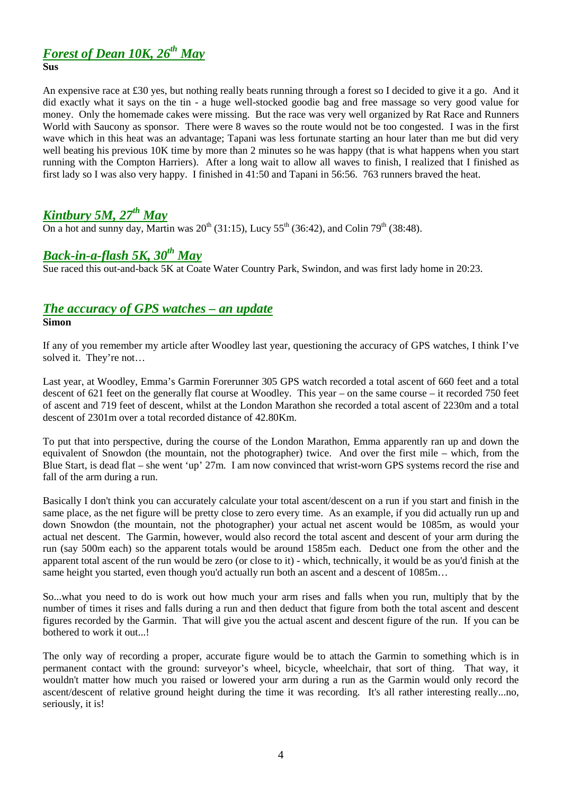# *Forest of Dean 10K, 26th May*

#### **Sus**

An expensive race at £30 yes, but nothing really beats running through a forest so I decided to give it a go. And it did exactly what it says on the tin - a huge well-stocked goodie bag and free massage so very good value for money. Only the homemade cakes were missing. But the race was very well organized by Rat Race and Runners World with Saucony as sponsor. There were 8 waves so the route would not be too congested. I was in the first wave which in this heat was an advantage; Tapani was less fortunate starting an hour later than me but did very well beating his previous 10K time by more than 2 minutes so he was happy (that is what happens when you start running with the Compton Harriers). After a long wait to allow all waves to finish, I realized that I finished as first lady so I was also very happy. I finished in 41:50 and Tapani in 56:56. 763 runners braved the heat.

## *Kintbury 5M, 27 th May*

On a hot and sunny day, Martin was  $20^{th}$  (31:15), Lucy  $55^{th}$  (36:42), and Colin  $79^{th}$  (38:48).

## *Back-in-a-flash 5K, 30th May*

Sue raced this out-and-back 5K at Coate Water Country Park, Swindon, and was first lady home in 20:23.

### *The accuracy of GPS watches – an update*

#### **Simon**

If any of you remember my article after Woodley last year, questioning the accuracy of GPS watches, I think I've solved it. They're not…

Last year, at Woodley, Emma's Garmin Forerunner 305 GPS watch recorded a total ascent of 660 feet and a total descent of 621 feet on the generally flat course at Woodley. This year – on the same course – it recorded 750 feet of ascent and 719 feet of descent, whilst at the London Marathon she recorded a total ascent of 2230m and a total descent of 2301m over a total recorded distance of 42.80Km.

To put that into perspective, during the course of the London Marathon, Emma apparently ran up and down the equivalent of Snowdon (the mountain, not the photographer) twice. And over the first mile – which, from the Blue Start, is dead flat – she went 'up' 27m. I am now convinced that wrist-worn GPS systems record the rise and fall of the arm during a run.

Basically I don't think you can accurately calculate your total ascent/descent on a run if you start and finish in the same place, as the net figure will be pretty close to zero every time. As an example, if you did actually run up and down Snowdon (the mountain, not the photographer) your actual net ascent would be 1085m, as would your actual net descent. The Garmin, however, would also record the total ascent and descent of your arm during the run (say 500m each) so the apparent totals would be around 1585m each. Deduct one from the other and the apparent total ascent of the run would be zero (or close to it) - which, technically, it would be as you'd finish at the same height you started, even though you'd actually run both an ascent and a descent of 1085m...

So...what you need to do is work out how much your arm rises and falls when you run, multiply that by the number of times it rises and falls during a run and then deduct that figure from both the total ascent and descent figures recorded by the Garmin. That will give you the actual ascent and descent figure of the run. If you can be bothered to work it out...!

The only way of recording a proper, accurate figure would be to attach the Garmin to something which is in permanent contact with the ground: surveyor's wheel, bicycle, wheelchair, that sort of thing. That way, it wouldn't matter how much you raised or lowered your arm during a run as the Garmin would only record the ascent/descent of relative ground height during the time it was recording. It's all rather interesting really...no, seriously, it is!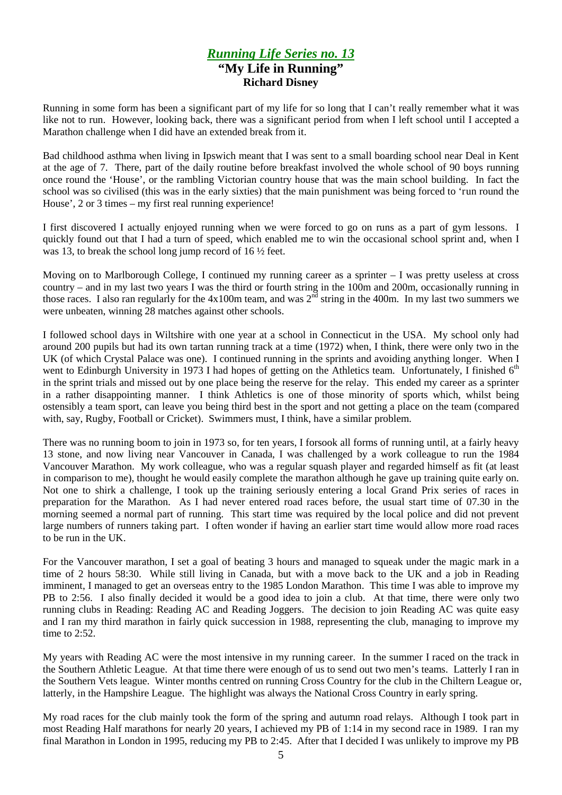### *Running Life Series no. 13* **"My Life in Running" Richard Disney**

Running in some form has been a significant part of my life for so long that I can't really remember what it was like not to run. However, looking back, there was a significant period from when I left school until I accepted a Marathon challenge when I did have an extended break from it.

Bad childhood asthma when living in Ipswich meant that I was sent to a small boarding school near Deal in Kent at the age of 7. There, part of the daily routine before breakfast involved the whole school of 90 boys running once round the 'House', or the rambling Victorian country house that was the main school building. In fact the school was so civilised (this was in the early sixties) that the main punishment was being forced to 'run round the House', 2 or 3 times – my first real running experience!

I first discovered I actually enjoyed running when we were forced to go on runs as a part of gym lessons. I quickly found out that I had a turn of speed, which enabled me to win the occasional school sprint and, when I was 13, to break the school long jump record of 16 ½ feet.

Moving on to Marlborough College, I continued my running career as a sprinter – I was pretty useless at cross country – and in my last two years I was the third or fourth string in the 100m and 200m, occasionally running in those races. I also ran regularly for the  $4x100m$  team, and was  $2<sup>n\bar{d}</sup>$  string in the 400m. In my last two summers we were unbeaten, winning 28 matches against other schools.

I followed school days in Wiltshire with one year at a school in Connecticut in the USA. My school only had around 200 pupils but had its own tartan running track at a time (1972) when, I think, there were only two in the UK (of which Crystal Palace was one). I continued running in the sprints and avoiding anything longer. When I went to Edinburgh University in 1973 I had hopes of getting on the Athletics team. Unfortunately, I finished 6<sup>th</sup> in the sprint trials and missed out by one place being the reserve for the relay. This ended my career as a sprinter in a rather disappointing manner. I think Athletics is one of those minority of sports which, whilst being ostensibly a team sport, can leave you being third best in the sport and not getting a place on the team (compared with, say, Rugby, Football or Cricket). Swimmers must, I think, have a similar problem.

There was no running boom to join in 1973 so, for ten years, I forsook all forms of running until, at a fairly heavy 13 stone, and now living near Vancouver in Canada, I was challenged by a work colleague to run the 1984 Vancouver Marathon. My work colleague, who was a regular squash player and regarded himself as fit (at least in comparison to me), thought he would easily complete the marathon although he gave up training quite early on. Not one to shirk a challenge, I took up the training seriously entering a local Grand Prix series of races in preparation for the Marathon. As I had never entered road races before, the usual start time of 07.30 in the morning seemed a normal part of running. This start time was required by the local police and did not prevent large numbers of runners taking part. I often wonder if having an earlier start time would allow more road races to be run in the UK.

For the Vancouver marathon, I set a goal of beating 3 hours and managed to squeak under the magic mark in a time of 2 hours 58:30. While still living in Canada, but with a move back to the UK and a job in Reading imminent, I managed to get an overseas entry to the 1985 London Marathon. This time I was able to improve my PB to 2:56. I also finally decided it would be a good idea to join a club. At that time, there were only two running clubs in Reading: Reading AC and Reading Joggers. The decision to join Reading AC was quite easy and I ran my third marathon in fairly quick succession in 1988, representing the club, managing to improve my time to 2:52.

My years with Reading AC were the most intensive in my running career. In the summer I raced on the track in the Southern Athletic League. At that time there were enough of us to send out two men's teams. Latterly I ran in the Southern Vets league. Winter months centred on running Cross Country for the club in the Chiltern League or, latterly, in the Hampshire League. The highlight was always the National Cross Country in early spring.

My road races for the club mainly took the form of the spring and autumn road relays. Although I took part in most Reading Half marathons for nearly 20 years, I achieved my PB of 1:14 in my second race in 1989. I ran my final Marathon in London in 1995, reducing my PB to 2:45. After that I decided I was unlikely to improve my PB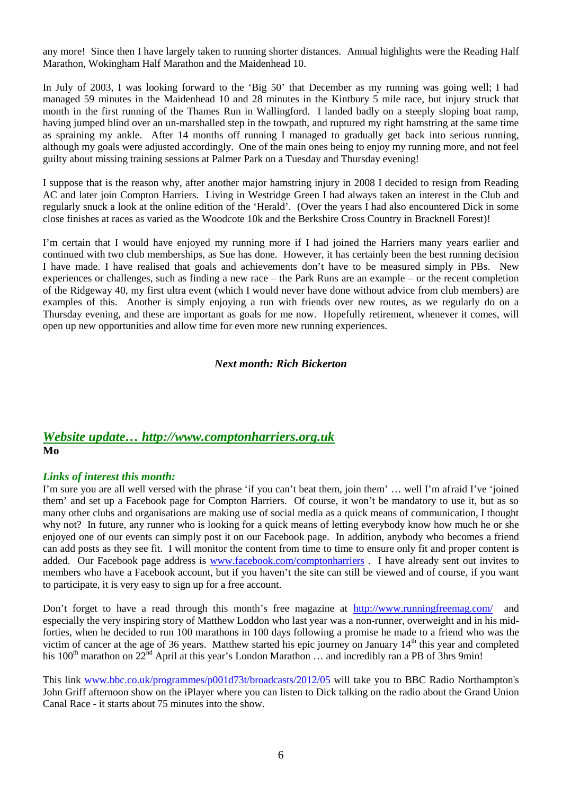any more! Since then I have largely taken to running shorter distances. Annual highlights were the Reading Half Marathon, Wokingham Half Marathon and the Maidenhead 10.

In July of 2003, I was looking forward to the 'Big 50' that December as my running was going well; I had managed 59 minutes in the Maidenhead 10 and 28 minutes in the Kintbury 5 mile race, but injury struck that month in the first running of the Thames Run in Wallingford. I landed badly on a steeply sloping boat ramp, having jumped blind over an un-marshalled step in the towpath, and ruptured my right hamstring at the same time as spraining my ankle. After 14 months off running I managed to gradually get back into serious running, although my goals were adjusted accordingly. One of the main ones being to enjoy my running more, and not feel guilty about missing training sessions at Palmer Park on a Tuesday and Thursday evening!

I suppose that is the reason why, after another major hamstring injury in 2008 I decided to resign from Reading AC and later join Compton Harriers. Living in Westridge Green I had always taken an interest in the Club and regularly snuck a look at the online edition of the 'Herald'. (Over the years I had also encountered Dick in some close finishes at races as varied as the Woodcote 10k and the Berkshire Cross Country in Bracknell Forest)!

I'm certain that I would have enjoyed my running more if I had joined the Harriers many years earlier and continued with two club memberships, as Sue has done. However, it has certainly been the best running decision I have made. I have realised that goals and achievements don't have to be measured simply in PBs. New experiences or challenges, such as finding a new race – the Park Runs are an example – or the recent completion of the Ridgeway 40, my first ultra event (which I would never have done without advice from club members) are examples of this. Another is simply enjoying a run with friends over new routes, as we regularly do on a Thursday evening, and these are important as goals for me now. Hopefully retirement, whenever it comes, will open up new opportunities and allow time for even more new running experiences.

#### *Next month: Rich Bickerton*

### *Website update… http://www.comptonharriers.org.uk* **Mo**

#### *Links of interest this month:*

I'm sure you are all well versed with the phrase 'if you can't beat them, join them' … well I'm afraid I've 'joined them' and set up a Facebook page for Compton Harriers. Of course, it won't be mandatory to use it, but as so many other clubs and organisations are making use of social media as a quick means of communication, I thought why not? In future, any runner who is looking for a quick means of letting everybody know how much he or she enjoyed one of our events can simply post it on our Facebook page. In addition, anybody who becomes a friend can add posts as they see fit. I will monitor the content from time to time to ensure only fit and proper content is added. Our Facebook page address is www.facebook.com/comptonharriers . I have already sent out invites to members who have a Facebook account, but if you haven't the site can still be viewed and of course, if you want to participate, it is very easy to sign up for a free account.

Don't forget to have a read through this month's free magazine at http://www.runningfreemag.com/ and especially the very inspiring story of Matthew Loddon who last year was a non-runner, overweight and in his midforties, when he decided to run 100 marathons in 100 days following a promise he made to a friend who was the victim of cancer at the age of 36 years. Matthew started his epic journey on January 14<sup>th</sup> this year and completed his 100<sup>th</sup> marathon on  $22^{nd}$  April at this year's London Marathon ... and incredibly ran a PB of 3hrs 9min!

This link www.bbc.co.uk/programmes/p001d73t/broadcasts/2012/05 will take you to BBC Radio Northampton's John Griff afternoon show on the iPlayer where you can listen to Dick talking on the radio about the Grand Union Canal Race - it starts about 75 minutes into the show.